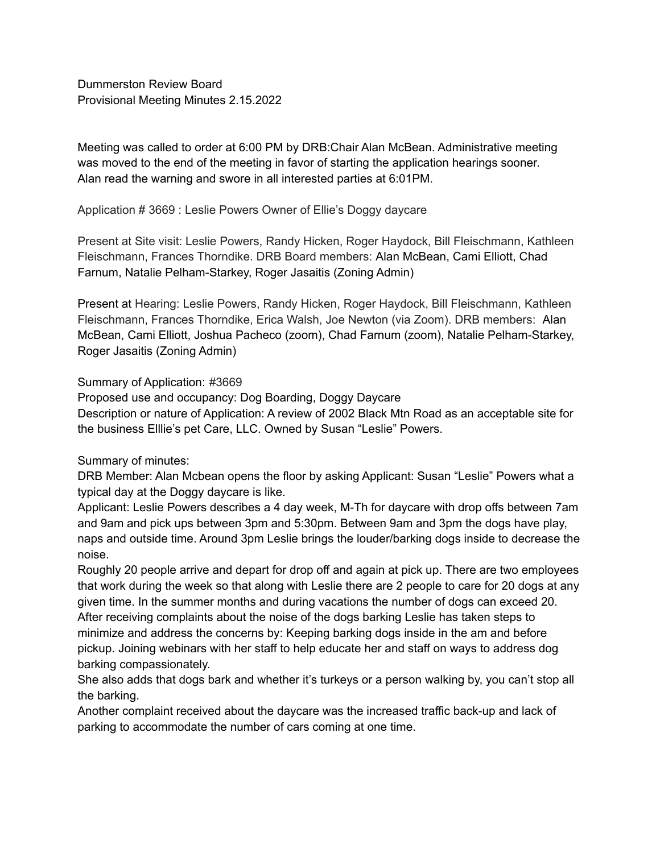Dummerston Review Board Provisional Meeting Minutes 2.15.2022

Meeting was called to order at 6:00 PM by DRB:Chair Alan McBean. Administrative meeting was moved to the end of the meeting in favor of starting the application hearings sooner. Alan read the warning and swore in all interested parties at 6:01PM.

Application # 3669 : Leslie Powers Owner of Ellie's Doggy daycare

Present at Site visit: Leslie Powers, Randy Hicken, Roger Haydock, Bill Fleischmann, Kathleen Fleischmann, Frances Thorndike. DRB Board members: Alan McBean, Cami Elliott, Chad Farnum, Natalie Pelham-Starkey, Roger Jasaitis (Zoning Admin)

Present at Hearing: Leslie Powers, Randy Hicken, Roger Haydock, Bill Fleischmann, Kathleen Fleischmann, Frances Thorndike, Erica Walsh, Joe Newton (via Zoom). DRB members: Alan McBean, Cami Elliott, Joshua Pacheco (zoom), Chad Farnum (zoom), Natalie Pelham-Starkey, Roger Jasaitis (Zoning Admin)

## Summary of Application: #3669

Proposed use and occupancy: Dog Boarding, Doggy Daycare Description or nature of Application: A review of 2002 Black Mtn Road as an acceptable site for the business Elllie's pet Care, LLC. Owned by Susan "Leslie" Powers.

## Summary of minutes:

DRB Member: Alan Mcbean opens the floor by asking Applicant: Susan "Leslie" Powers what a typical day at the Doggy daycare is like.

Applicant: Leslie Powers describes a 4 day week, M-Th for daycare with drop offs between 7am and 9am and pick ups between 3pm and 5:30pm. Between 9am and 3pm the dogs have play, naps and outside time. Around 3pm Leslie brings the louder/barking dogs inside to decrease the noise.

Roughly 20 people arrive and depart for drop off and again at pick up. There are two employees that work during the week so that along with Leslie there are 2 people to care for 20 dogs at any given time. In the summer months and during vacations the number of dogs can exceed 20. After receiving complaints about the noise of the dogs barking Leslie has taken steps to minimize and address the concerns by: Keeping barking dogs inside in the am and before pickup. Joining webinars with her staff to help educate her and staff on ways to address dog barking compassionately.

She also adds that dogs bark and whether it's turkeys or a person walking by, you can't stop all the barking.

Another complaint received about the daycare was the increased traffic back-up and lack of parking to accommodate the number of cars coming at one time.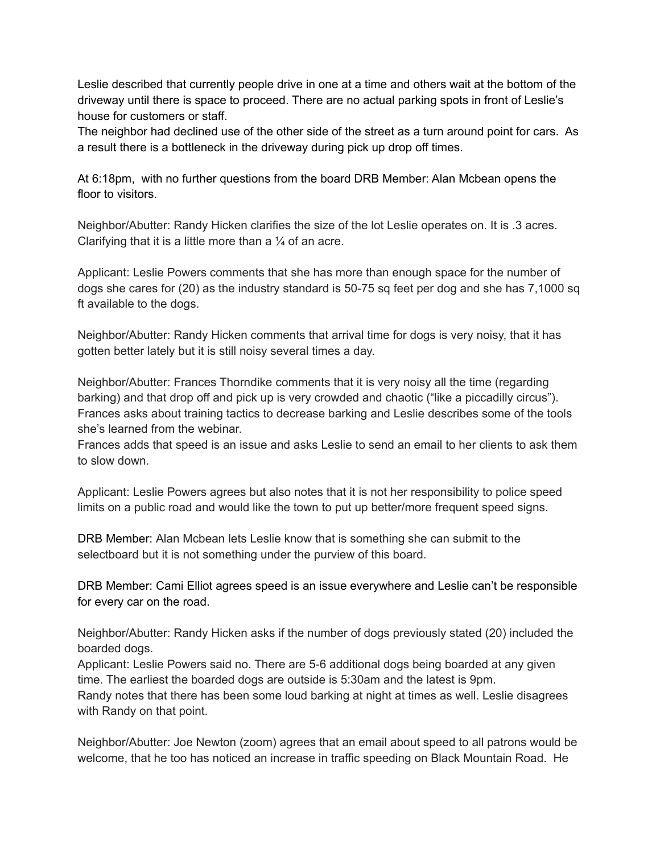Leslie described that currently people drive in one at a time and others wait at the bottom of the driveway until there is space to proceed. There are no actual parking spots in front of Leslie's house for customers or staff.

The neighbor had declined use of the other side of the street as a turn around point for cars. As a result there is a bottleneck in the driveway during pick up drop off times.

At 6:18pm, with no further questions from the board DRB Member: Alan Mcbean opens the floor to visitors.

Neighbor/Abutter: Randy Hicken clarifies the size of the lot Leslie operates on. It is .3 acres. Clarifying that it is a little more than a  $\frac{1}{4}$  of an acre.

Applicant: Leslie Powers comments that she has more than enough space for the number of dogs she cares for (20) as the industry standard is 50-75 sq feet per dog and she has 7,1000 sq ft available to the dogs.

Neighbor/Abutter: Randy Hicken comments that arrival time for dogs is very noisy, that it has gotten better lately but it is still noisy several times a day.

Neighbor/Abutter: Frances Thorndike comments that it is very noisy all the time (regarding barking) and that drop off and pick up is very crowded and chaotic ("like a piccadilly circus"). Frances asks about training tactics to decrease barking and Leslie describes some of the tools she's learned from the webinar.

Frances adds that speed is an issue and asks Leslie to send an email to her clients to ask them to slow down.

Applicant: Leslie Powers agrees but also notes that it is not her responsibility to police speed limits on a public road and would like the town to put up better/more frequent speed signs.

DRB Member: Alan Mcbean lets Leslie know that is something she can submit to the selectboard but it is not something under the purview of this board.

DRB Member: Cami Elliot agrees speed is an issue everywhere and Leslie can't be responsible for every car on the road.

Neighbor/Abutter: Randy Hicken asks if the number of dogs previously stated (20) included the boarded dogs.

Applicant: Leslie Powers said no. There are 5-6 additional dogs being boarded at any given time. The earliest the boarded dogs are outside is 5:30am and the latest is 9pm.

Randy notes that there has been some loud barking at night at times as well. Leslie disagrees with Randy on that point.

Neighbor/Abutter: Joe Newton (zoom) agrees that an email about speed to all patrons would be welcome, that he too has noticed an increase in traffic speeding on Black Mountain Road. He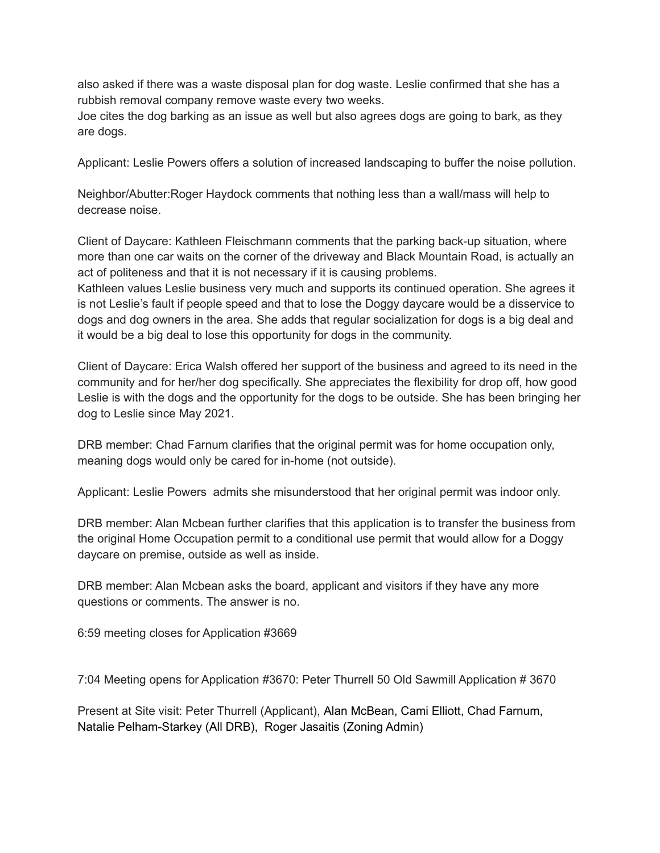also asked if there was a waste disposal plan for dog waste. Leslie confirmed that she has a rubbish removal company remove waste every two weeks.

Joe cites the dog barking as an issue as well but also agrees dogs are going to bark, as they are dogs.

Applicant: Leslie Powers offers a solution of increased landscaping to buffer the noise pollution.

Neighbor/Abutter:Roger Haydock comments that nothing less than a wall/mass will help to decrease noise.

Client of Daycare: Kathleen Fleischmann comments that the parking back-up situation, where more than one car waits on the corner of the driveway and Black Mountain Road, is actually an act of politeness and that it is not necessary if it is causing problems.

Kathleen values Leslie business very much and supports its continued operation. She agrees it is not Leslie's fault if people speed and that to lose the Doggy daycare would be a disservice to dogs and dog owners in the area. She adds that regular socialization for dogs is a big deal and it would be a big deal to lose this opportunity for dogs in the community.

Client of Daycare: Erica Walsh offered her support of the business and agreed to its need in the community and for her/her dog specifically. She appreciates the flexibility for drop off, how good Leslie is with the dogs and the opportunity for the dogs to be outside. She has been bringing her dog to Leslie since May 2021.

DRB member: Chad Farnum clarifies that the original permit was for home occupation only, meaning dogs would only be cared for in-home (not outside).

Applicant: Leslie Powers admits she misunderstood that her original permit was indoor only.

DRB member: Alan Mcbean further clarifies that this application is to transfer the business from the original Home Occupation permit to a conditional use permit that would allow for a Doggy daycare on premise, outside as well as inside.

DRB member: Alan Mcbean asks the board, applicant and visitors if they have any more questions or comments. The answer is no.

6:59 meeting closes for Application #3669

7:04 Meeting opens for Application #3670: Peter Thurrell 50 Old Sawmill Application # 3670

Present at Site visit: Peter Thurrell (Applicant), Alan McBean, Cami Elliott, Chad Farnum, Natalie Pelham-Starkey (All DRB), Roger Jasaitis (Zoning Admin)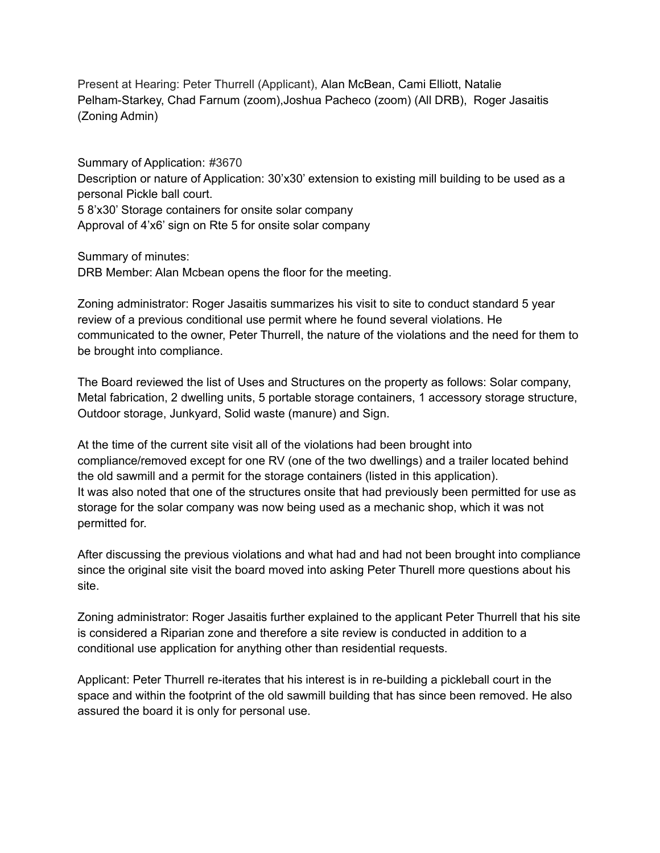Present at Hearing: Peter Thurrell (Applicant), Alan McBean, Cami Elliott, Natalie Pelham-Starkey, Chad Farnum (zoom),Joshua Pacheco (zoom) (All DRB), Roger Jasaitis (Zoning Admin)

Summary of Application: #3670 Description or nature of Application: 30'x30' extension to existing mill building to be used as a personal Pickle ball court. 5 8'x30' Storage containers for onsite solar company Approval of 4'x6' sign on Rte 5 for onsite solar company

Summary of minutes:

DRB Member: Alan Mcbean opens the floor for the meeting.

Zoning administrator: Roger Jasaitis summarizes his visit to site to conduct standard 5 year review of a previous conditional use permit where he found several violations. He communicated to the owner, Peter Thurrell, the nature of the violations and the need for them to be brought into compliance.

The Board reviewed the list of Uses and Structures on the property as follows: Solar company, Metal fabrication, 2 dwelling units, 5 portable storage containers, 1 accessory storage structure, Outdoor storage, Junkyard, Solid waste (manure) and Sign.

At the time of the current site visit all of the violations had been brought into compliance/removed except for one RV (one of the two dwellings) and a trailer located behind the old sawmill and a permit for the storage containers (listed in this application). It was also noted that one of the structures onsite that had previously been permitted for use as storage for the solar company was now being used as a mechanic shop, which it was not permitted for.

After discussing the previous violations and what had and had not been brought into compliance since the original site visit the board moved into asking Peter Thurell more questions about his site.

Zoning administrator: Roger Jasaitis further explained to the applicant Peter Thurrell that his site is considered a Riparian zone and therefore a site review is conducted in addition to a conditional use application for anything other than residential requests.

Applicant: Peter Thurrell re-iterates that his interest is in re-building a pickleball court in the space and within the footprint of the old sawmill building that has since been removed. He also assured the board it is only for personal use.